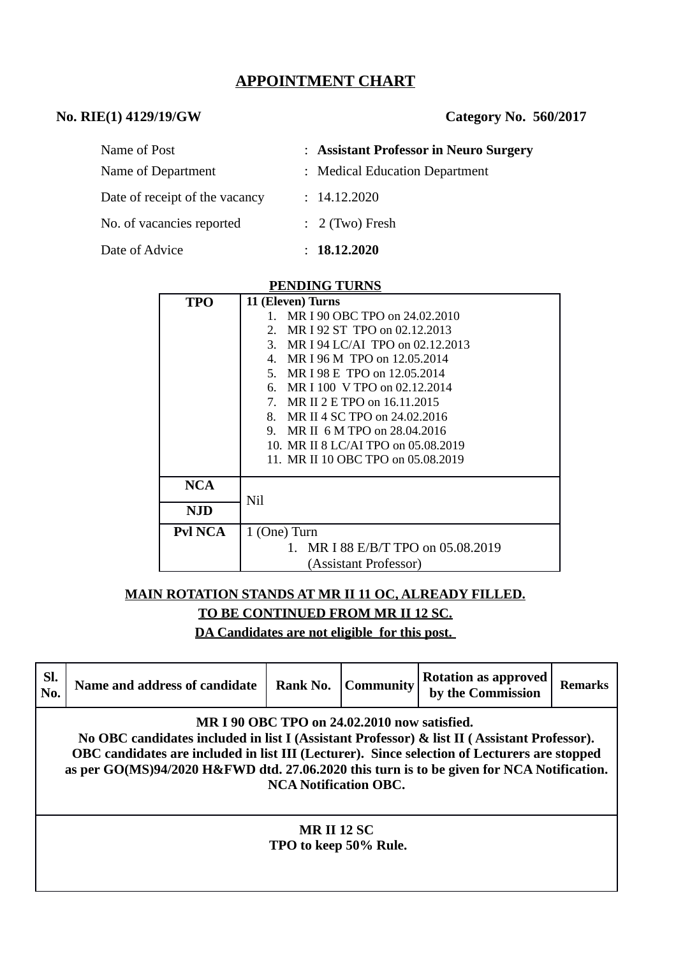# **APPOINTMENT CHART**

# **No. RIE(1) 4129/19/GW Category No. 560/2017**

| Name of Post                   | : Assistant Professor in Neuro Surgery |
|--------------------------------|----------------------------------------|
| Name of Department             | : Medical Education Department         |
| Date of receipt of the vacancy | : 14.12.2020                           |
| No. of vacancies reported      | $\therefore$ 2 (Two) Fresh             |
| Date of Advice                 | : 18.12.2020                           |

#### **PENDING TURNS**

| <b>TPO</b> | 11 (Eleven) Turns                   |  |  |  |  |
|------------|-------------------------------------|--|--|--|--|
|            | 1. MR I 90 OBC TPO on 24.02.2010    |  |  |  |  |
|            | 2. MR I 92 ST TPO on 02.12.2013     |  |  |  |  |
|            | 3. MR I 94 LC/AI TPO on 02.12.2013  |  |  |  |  |
|            | 4. MR I 96 M TPO on 12,05,2014      |  |  |  |  |
|            | 5. MR I 98 E TPO on 12.05.2014      |  |  |  |  |
|            | 6. MR I 100 V TPO on 02.12.2014     |  |  |  |  |
|            | 7. MR II 2 E TPO on 16.11.2015      |  |  |  |  |
|            | MR II 4 SC TPO on 24.02.2016<br>8.  |  |  |  |  |
|            | 9. MR II 6 M TPO on 28.04.2016      |  |  |  |  |
|            | 10. MR II 8 LC/AI TPO on 05.08.2019 |  |  |  |  |
|            | 11. MR II 10 OBC TPO on 05.08.2019  |  |  |  |  |
| NCA        |                                     |  |  |  |  |
|            | Nil                                 |  |  |  |  |
| NJD        |                                     |  |  |  |  |
| Pvl NCA    | 1 (One) Turn                        |  |  |  |  |
|            | 1. MR I 88 E/B/T TPO on 05.08.2019  |  |  |  |  |
|            | (Assistant Professor)               |  |  |  |  |

# **MAIN ROTATION STANDS AT MR II 11 OC, ALREADY FILLED.**

**TO BE CONTINUED FROM MR II 12 SC.**

**DA Candidates are not eligible for this post.** 

| SI.<br>No.                                                                                                                                                                                                                                                                                                                                                               | Name and address of candidate               | Rank No. | <b>Community</b> | <b>Rotation as approved</b><br>by the Commission | Remarks |  |  |
|--------------------------------------------------------------------------------------------------------------------------------------------------------------------------------------------------------------------------------------------------------------------------------------------------------------------------------------------------------------------------|---------------------------------------------|----------|------------------|--------------------------------------------------|---------|--|--|
| MR I 90 OBC TPO on 24.02.2010 now satisfied.<br>No OBC candidates included in list I (Assistant Professor) & list II (Assistant Professor).<br>OBC candidates are included in list III (Lecturer). Since selection of Lecturers are stopped<br>as per GO(MS)94/2020 H&FWD dtd. 27.06.2020 this turn is to be given for NCA Notification.<br><b>NCA Notification OBC.</b> |                                             |          |                  |                                                  |         |  |  |
|                                                                                                                                                                                                                                                                                                                                                                          | <b>MR II 12 SC</b><br>TPO to keep 50% Rule. |          |                  |                                                  |         |  |  |